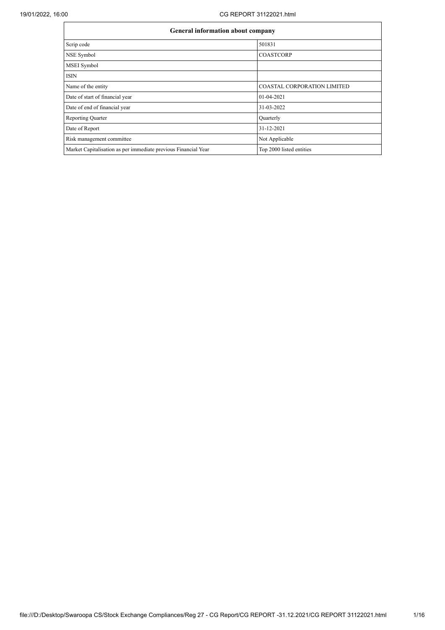| General information about company                              |                                    |  |  |  |  |  |
|----------------------------------------------------------------|------------------------------------|--|--|--|--|--|
| Scrip code                                                     | 501831                             |  |  |  |  |  |
| NSE Symbol                                                     | <b>COASTCORP</b>                   |  |  |  |  |  |
| MSEI Symbol                                                    |                                    |  |  |  |  |  |
| <b>ISIN</b>                                                    |                                    |  |  |  |  |  |
| Name of the entity                                             | <b>COASTAL CORPORATION LIMITED</b> |  |  |  |  |  |
| Date of start of financial year                                | $01-04-2021$                       |  |  |  |  |  |
| Date of end of financial year                                  | 31-03-2022                         |  |  |  |  |  |
| <b>Reporting Quarter</b>                                       | Quarterly                          |  |  |  |  |  |
| Date of Report                                                 | 31-12-2021                         |  |  |  |  |  |
| Risk management committee                                      | Not Applicable                     |  |  |  |  |  |
| Market Capitalisation as per immediate previous Financial Year | Top 2000 listed entities           |  |  |  |  |  |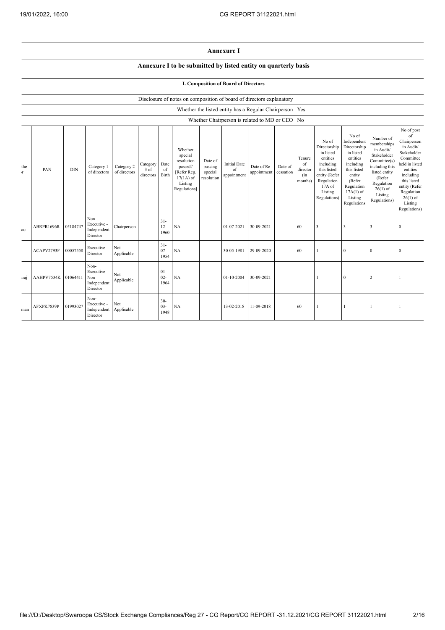## **Annexure I**

## **Annexure I to be submitted by listed entity on quarterly basis**

## **I. Composition of Board of Directors**

|                    |            | Disclosure of notes on composition of board of directors explanatory |                                                       |                            |                                 |                          |                                                                                                      |                                             |                                                           |                            |                      |                                            |                                                                                                                                                |                                                                                                                                                                      |                                                                                                                                                                          |                                                                                                                                                                                                            |
|--------------------|------------|----------------------------------------------------------------------|-------------------------------------------------------|----------------------------|---------------------------------|--------------------------|------------------------------------------------------------------------------------------------------|---------------------------------------------|-----------------------------------------------------------|----------------------------|----------------------|--------------------------------------------|------------------------------------------------------------------------------------------------------------------------------------------------|----------------------------------------------------------------------------------------------------------------------------------------------------------------------|--------------------------------------------------------------------------------------------------------------------------------------------------------------------------|------------------------------------------------------------------------------------------------------------------------------------------------------------------------------------------------------------|
|                    |            |                                                                      |                                                       |                            |                                 |                          |                                                                                                      |                                             | Whether the listed entity has a Regular Chairperson   Yes |                            |                      |                                            |                                                                                                                                                |                                                                                                                                                                      |                                                                                                                                                                          |                                                                                                                                                                                                            |
|                    |            |                                                                      |                                                       |                            |                                 |                          |                                                                                                      |                                             | Whether Chairperson is related to MD or CEO No            |                            |                      |                                            |                                                                                                                                                |                                                                                                                                                                      |                                                                                                                                                                          |                                                                                                                                                                                                            |
| the<br>$\mathbf T$ | PAN        | <b>DIN</b>                                                           | Category 1<br>of directors                            | Category 2<br>of directors | Category<br>$3$ of<br>directors | Date<br>of<br>Birth      | Whether<br>special<br>resolution<br>passed?<br>[Refer Reg.<br>$17(1A)$ of<br>Listing<br>Regulations] | Date of<br>passing<br>special<br>resolution | <b>Initial Date</b><br>of<br>appointment                  | Date of Re-<br>appointment | Date of<br>cessation | Tenure<br>of<br>director<br>(in<br>months) | No of<br>Directorship<br>in listed<br>entities<br>including<br>this listed<br>entity (Refer<br>Regulation<br>17A of<br>Listing<br>Regulations) | No of<br>Independent<br>Directorship<br>in listed<br>entities<br>including<br>this listed<br>entity<br>(Refer<br>Regulation<br>$17A(1)$ of<br>Listing<br>Regulations | Number of<br>memberships<br>in Audit/<br>Stakeholder<br>Committee(s)<br>including this<br>listed entity<br>(Refer<br>Regulation<br>$26(1)$ of<br>Listing<br>Regulations) | No of post<br>of<br>Chairperson<br>in Audit/<br>Stakeholder<br>Committee<br>held in listed<br>entities<br>including<br>this listed<br>entity (Refer<br>Regulation<br>$26(1)$ of<br>Listing<br>Regulations) |
| ao                 | ABRPR1696R | 05184747                                                             | Non-<br>Executive -<br>Independent<br>Director        | Chairperson                |                                 | $31 -$<br>$12 -$<br>1960 | NA                                                                                                   |                                             | 01-07-2021                                                | 30-09-2021                 |                      | 60                                         | 3                                                                                                                                              | 3                                                                                                                                                                    | 3                                                                                                                                                                        | $\Omega$                                                                                                                                                                                                   |
|                    | ACAPV2793F | 00057558                                                             | Executive<br>Director                                 | Not<br>Applicable          |                                 | $31 -$<br>$07 -$<br>1954 | NA                                                                                                   |                                             | 30-05-1981                                                | 29-09-2020                 |                      | 60                                         |                                                                                                                                                | $\bf{0}$                                                                                                                                                             | $\mathbf{0}$                                                                                                                                                             | $\Omega$                                                                                                                                                                                                   |
| uraj               | AAHPV7534K | 01064411                                                             | Non-<br>Executive -<br>Non<br>Independent<br>Director | Not<br>Applicable          |                                 | $01-$<br>$02 -$<br>1964  | NA                                                                                                   |                                             | 01-10-2004                                                | 30-09-2021                 |                      |                                            |                                                                                                                                                | $\mathbf{0}$                                                                                                                                                         | $\overline{2}$                                                                                                                                                           |                                                                                                                                                                                                            |
| man                | AFXPK7839P | 01993027                                                             | Non-<br>Executive -<br>Independent<br>Director        | Not<br>Applicable          |                                 | $30 -$<br>$03 -$<br>1948 | NA                                                                                                   |                                             | 13-02-2018                                                | 11-09-2018                 |                      | 60                                         |                                                                                                                                                |                                                                                                                                                                      |                                                                                                                                                                          |                                                                                                                                                                                                            |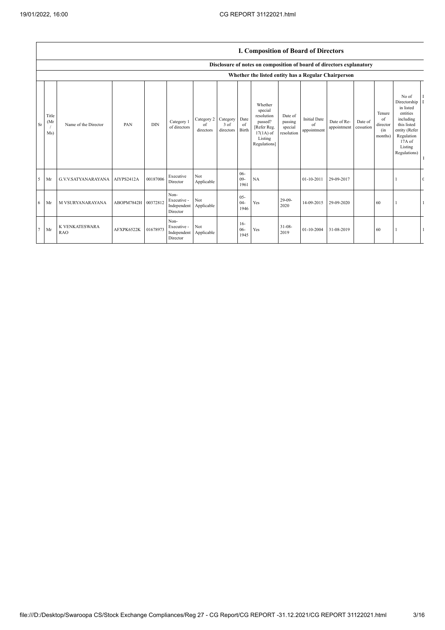|    |                      |                              |                     |            |                                                           |                               | 1. Composition of Bourn of Birectors |                            |                                                                                                      |                                             |                                          |                            |                      |                                            |                                                                                                                                                  |  |  |  |  |
|----|----------------------|------------------------------|---------------------|------------|-----------------------------------------------------------|-------------------------------|--------------------------------------|----------------------------|------------------------------------------------------------------------------------------------------|---------------------------------------------|------------------------------------------|----------------------------|----------------------|--------------------------------------------|--------------------------------------------------------------------------------------------------------------------------------------------------|--|--|--|--|
|    |                      |                              |                     |            |                                                           |                               |                                      |                            | Disclosure of notes on composition of board of directors explanatory                                 |                                             |                                          |                            |                      |                                            |                                                                                                                                                  |  |  |  |  |
|    |                      |                              |                     |            |                                                           |                               |                                      |                            | Whether the listed entity has a Regular Chairperson                                                  |                                             |                                          |                            |                      |                                            |                                                                                                                                                  |  |  |  |  |
| Sr | Title<br>(Mr)<br>Ms) | Name of the Director         | PAN                 | <b>DIN</b> | Category 1<br>of directors                                | Category 2<br>of<br>directors | Category<br>3 of<br>directors        | Date<br>of<br><b>Birth</b> | Whether<br>special<br>resolution<br>passed?<br>[Refer Reg.<br>$17(1A)$ of<br>Listing<br>Regulations] | Date of<br>passing<br>special<br>resolution | <b>Initial Date</b><br>of<br>appointment | Date of Re-<br>appointment | Date of<br>cessation | Tenure<br>of<br>director<br>(in<br>months) | No of<br>Directorship<br>in listed<br>entities<br>including<br>this listed<br>entity (Refer<br>Regulation<br>$17A$ of<br>Listing<br>Regulations) |  |  |  |  |
| 5  | Mr                   | G.V.V.SATYANARAYANA          | AIYPS2412A          | 00187006   | Executive<br>Director                                     | Not<br>Applicable             |                                      | $06-$<br>$09 -$<br>1961    | NA                                                                                                   |                                             | 01-10-2011                               | 29-09-2017                 |                      |                                            |                                                                                                                                                  |  |  |  |  |
| 6  | Mr                   | M VSURYANARAYANA             | ABOPM7842H 00372812 |            | Non-<br>Executive -<br>Independent Applicable<br>Director | Not                           |                                      | $05 -$<br>$04 -$<br>1946   | Yes                                                                                                  | $29-09-$<br>2020                            | 14-09-2015                               | 29-09-2020                 |                      | 60                                         |                                                                                                                                                  |  |  |  |  |
|    | $7$ Mr               | K VENKATESWARA<br><b>RAO</b> | AFXPK6522K          | 01678973   | Non-<br>Executive -<br>Independent Applicable<br>Director | Not                           |                                      | $16-$<br>$06 -$<br>1945    | Yes                                                                                                  | $31 - 08 -$<br>2019                         | 01-10-2004                               | 31-08-2019                 |                      | 60                                         |                                                                                                                                                  |  |  |  |  |

## **I. Composition of Board of Directors**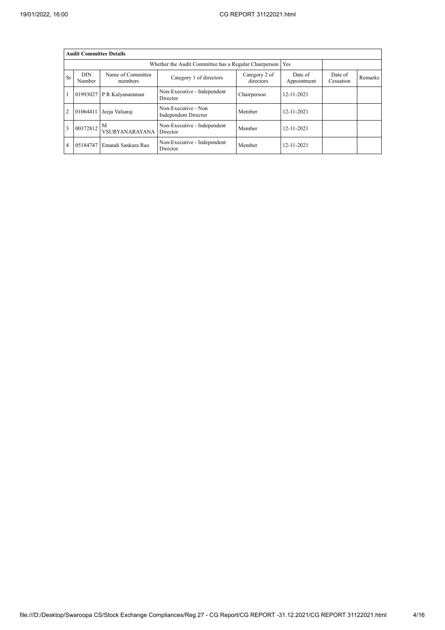|                | <b>Audit Committee Details</b> |                              |                                                       |                            |                        |                      |         |  |  |  |
|----------------|--------------------------------|------------------------------|-------------------------------------------------------|----------------------------|------------------------|----------------------|---------|--|--|--|
|                |                                |                              | Whether the Audit Committee has a Regular Chairperson | Yes                        |                        |                      |         |  |  |  |
| <b>Sr</b>      | <b>DIN</b><br>Number           | Name of Committee<br>members | Category 1 of directors                               | Category 2 of<br>directors | Date of<br>Appointment | Date of<br>Cessation | Remarks |  |  |  |
|                | 01993027                       | P R Kalyanaraman             | Non-Executive - Independent<br>Director               | Chairperson                | 12-11-2021             |                      |         |  |  |  |
| $\overline{2}$ | 01064411                       | Jeeja Valsaraj               | Non-Executive - Non<br>Independent Director           | Member                     | $12 - 11 - 2021$       |                      |         |  |  |  |
| 3              | 00372812                       | M<br><b>VSURYANARAYANA</b>   | Non-Executive - Independent<br>Director               | Member                     | $12 - 11 - 2021$       |                      |         |  |  |  |
| $\overline{4}$ | 05184747                       | Emandi Sankara Rao           | Non-Executive - Independent<br>Director               | Member                     | $12 - 11 - 2021$       |                      |         |  |  |  |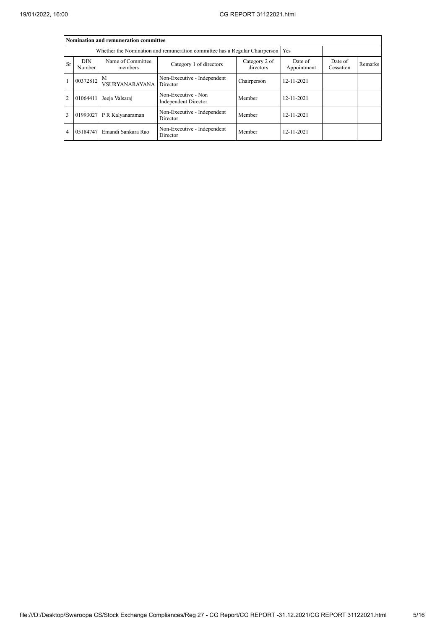|                | Nomination and remuneration committee |                                                                                   |                                                    |                            |                        |                      |         |  |  |
|----------------|---------------------------------------|-----------------------------------------------------------------------------------|----------------------------------------------------|----------------------------|------------------------|----------------------|---------|--|--|
|                |                                       | Whether the Nomination and remuneration committee has a Regular Chairperson   Yes |                                                    |                            |                        |                      |         |  |  |
| Sr             | <b>DIN</b><br>Number                  | Name of Committee<br>members                                                      | Category 1 of directors                            | Category 2 of<br>directors | Date of<br>Appointment | Date of<br>Cessation | Remarks |  |  |
|                | $100372812$ M                         | VSURYANARAYANA Director                                                           | Non-Executive - Independent                        | Chairperson                | 12-11-2021             |                      |         |  |  |
| $\overline{2}$ | 01064411                              | Jeeja Valsaraj                                                                    | Non-Executive - Non<br><b>Independent Director</b> | Member                     | $12 - 11 - 2021$       |                      |         |  |  |
| 3              |                                       | 01993027 P R Kalyanaraman                                                         | Non-Executive - Independent<br>Director            | Member                     | $12 - 11 - 2021$       |                      |         |  |  |
| $\overline{4}$ | 05184747                              | Emandi Sankara Rao                                                                | Non-Executive - Independent<br>Director            | Member                     | 12-11-2021             |                      |         |  |  |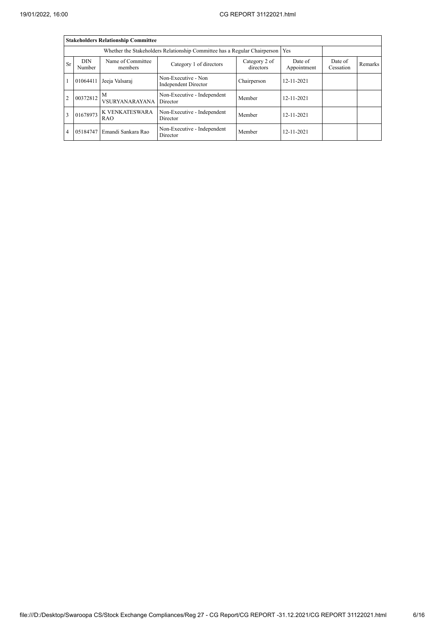|                | <b>Stakeholders Relationship Committee</b> |                              |                                             |                            |                        |                      |         |  |  |
|----------------|--------------------------------------------|------------------------------|---------------------------------------------|----------------------------|------------------------|----------------------|---------|--|--|
|                |                                            |                              |                                             |                            |                        |                      |         |  |  |
| Sr             | <b>DIN</b><br>Number                       | Name of Committee<br>members | Category 1 of directors                     | Category 2 of<br>directors | Date of<br>Appointment | Date of<br>Cessation | Remarks |  |  |
|                | 01064411                                   | Jeeja Valsaraj               | Non-Executive - Non<br>Independent Director | Chairperson                | 12-11-2021             |                      |         |  |  |
| $\overline{2}$ | $100372812$ M                              | <b>VSURYANARAYANA</b>        | Non-Executive - Independent<br>Director     | Member                     | 12-11-2021             |                      |         |  |  |
| 3              | 01678973                                   | K VENKATESWARA<br><b>RAO</b> | Non-Executive - Independent<br>Director     | Member                     | 12-11-2021             |                      |         |  |  |
| 4              | 05184747                                   | Emandi Sankara Rao           | Non-Executive - Independent<br>Director     | Member                     | $12 - 11 - 2021$       |                      |         |  |  |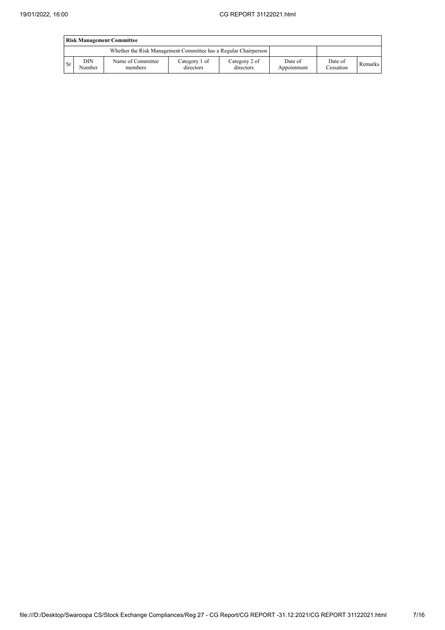|           | <b>Risk Management Committee</b> |                                                                 |                            |                            |                        |                      |         |  |  |
|-----------|----------------------------------|-----------------------------------------------------------------|----------------------------|----------------------------|------------------------|----------------------|---------|--|--|
|           |                                  | Whether the Risk Management Committee has a Regular Chairperson |                            |                            |                        |                      |         |  |  |
| <b>Sr</b> | DIN<br>Number                    | Name of Committee<br>members                                    | Category 1 of<br>directors | Category 2 of<br>directors | Date of<br>Appointment | Date of<br>Cessation | Remarks |  |  |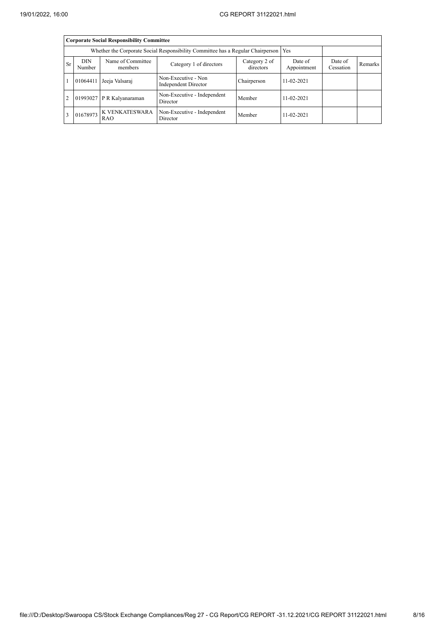|    | <b>Corporate Social Responsibility Committee</b>                                       |                              |                                             |                        |                      |         |  |  |  |  |
|----|----------------------------------------------------------------------------------------|------------------------------|---------------------------------------------|------------------------|----------------------|---------|--|--|--|--|
|    | Whether the Corporate Social Responsibility Committee has a Regular Chairperson<br>Yes |                              |                                             |                        |                      |         |  |  |  |  |
| Sr | <b>DIN</b><br>Number                                                                   | Name of Committee<br>members | Category 2 of<br>directors                  | Date of<br>Appointment | Date of<br>Cessation | Remarks |  |  |  |  |
|    | 01064411                                                                               | Jeeja Valsaraj               | Non-Executive - Non<br>Independent Director | Chairperson            | $11 - 02 - 2021$     |         |  |  |  |  |
| 2  |                                                                                        | 01993027 P R Kalyanaraman    | Non-Executive - Independent<br>Director     | Member                 | $11 - 02 - 2021$     |         |  |  |  |  |
| 3  | 01678973                                                                               | K VENKATESWARA<br><b>RAO</b> | Non-Executive - Independent<br>Director     | Member                 | $11 - 02 - 2021$     |         |  |  |  |  |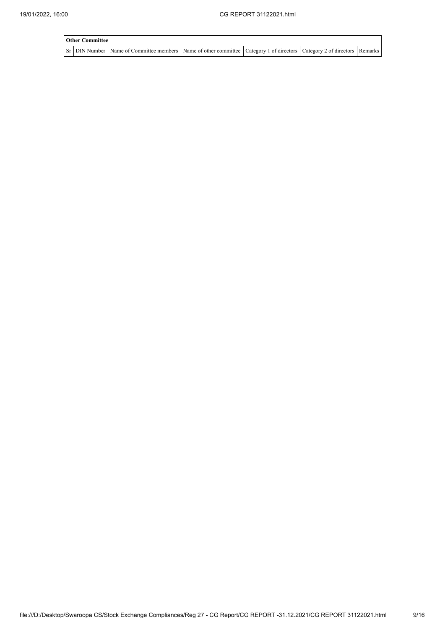| <b>Other Committee</b> |                                                                                                                                     |  |  |  |  |  |  |  |  |
|------------------------|-------------------------------------------------------------------------------------------------------------------------------------|--|--|--|--|--|--|--|--|
|                        | Sr   DIN Number   Name of Committee members   Name of other committee   Category 1 of directors   Category 2 of directors   Remarks |  |  |  |  |  |  |  |  |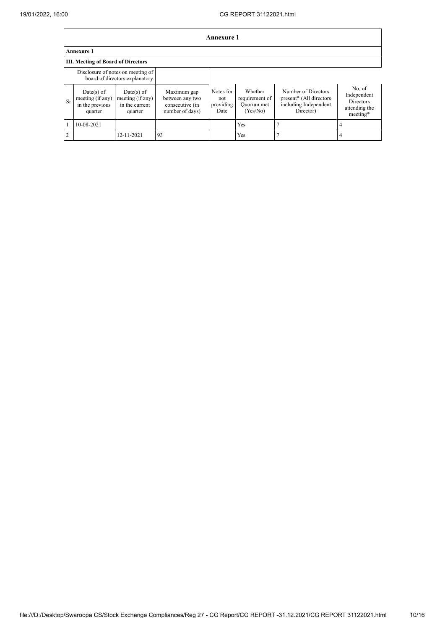|               | Annexure 1                                                          |                                                               |                                                                      |                                       |                                                     |                                                                                      |                                                                        |  |  |
|---------------|---------------------------------------------------------------------|---------------------------------------------------------------|----------------------------------------------------------------------|---------------------------------------|-----------------------------------------------------|--------------------------------------------------------------------------------------|------------------------------------------------------------------------|--|--|
|               | <b>Annexure 1</b>                                                   |                                                               |                                                                      |                                       |                                                     |                                                                                      |                                                                        |  |  |
|               | <b>III. Meeting of Board of Directors</b>                           |                                                               |                                                                      |                                       |                                                     |                                                                                      |                                                                        |  |  |
|               | Disclosure of notes on meeting of<br>board of directors explanatory |                                                               |                                                                      |                                       |                                                     |                                                                                      |                                                                        |  |  |
| Sr            | Date(s) of<br>meeting (if any)<br>in the previous<br>quarter        | $Date(s)$ of<br>meeting (if any)<br>in the current<br>quarter | Maximum gap<br>between any two<br>consecutive (in<br>number of days) | Notes for<br>not<br>providing<br>Date | Whether<br>requirement of<br>Quorum met<br>(Yes/No) | Number of Directors<br>present* (All directors<br>including Independent<br>Director) | No. of<br>Independent<br><b>Directors</b><br>attending the<br>meeting* |  |  |
|               | 10-08-2021                                                          |                                                               |                                                                      |                                       | <b>Yes</b>                                          |                                                                                      | 4                                                                      |  |  |
| $\mathcal{D}$ |                                                                     | 12-11-2021                                                    | 93                                                                   |                                       | Yes                                                 |                                                                                      | 4                                                                      |  |  |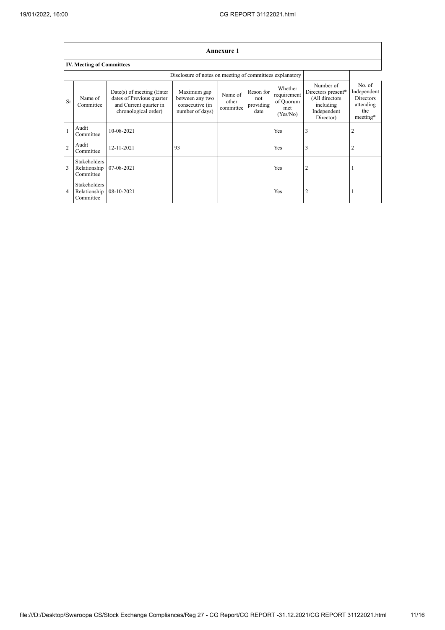|                | <b>Annexure 1</b>                                |                                                                                                            |                                                                      |                               |                                       |                                                        |                                                                                            |                                                                           |  |
|----------------|--------------------------------------------------|------------------------------------------------------------------------------------------------------------|----------------------------------------------------------------------|-------------------------------|---------------------------------------|--------------------------------------------------------|--------------------------------------------------------------------------------------------|---------------------------------------------------------------------------|--|
|                | <b>IV. Meeting of Committees</b>                 |                                                                                                            |                                                                      |                               |                                       |                                                        |                                                                                            |                                                                           |  |
|                |                                                  | Disclosure of notes on meeting of committees explanatory                                                   |                                                                      |                               |                                       |                                                        |                                                                                            |                                                                           |  |
| <b>Sr</b>      | Name of<br>Committee                             | $Date(s)$ of meeting (Enter<br>dates of Previous quarter<br>and Current quarter in<br>chronological order) | Maximum gap<br>between any two<br>consecutive (in<br>number of days) | Name of<br>other<br>committee | Reson for<br>not<br>providing<br>date | Whether<br>requirement<br>of Quorum<br>met<br>(Yes/No) | Number of<br>Directors present*<br>(All directors<br>including<br>Independent<br>Director) | No. of<br>Independent<br><b>Directors</b><br>attending<br>the<br>meeting* |  |
|                | Audit<br>Committee                               | 10-08-2021                                                                                                 |                                                                      |                               |                                       | Yes                                                    | 3                                                                                          |                                                                           |  |
| $\overline{2}$ | Audit<br>Committee                               | 12-11-2021                                                                                                 | 93                                                                   |                               |                                       | Yes                                                    | 3                                                                                          | 2                                                                         |  |
| 3              | <b>Stakeholders</b><br>Relationship<br>Committee | 07-08-2021                                                                                                 |                                                                      |                               |                                       | Yes                                                    | 2                                                                                          |                                                                           |  |
| 4              | Stakeholders<br>Relationship<br>Committee        | 08-10-2021                                                                                                 |                                                                      |                               |                                       | Yes                                                    | 2                                                                                          |                                                                           |  |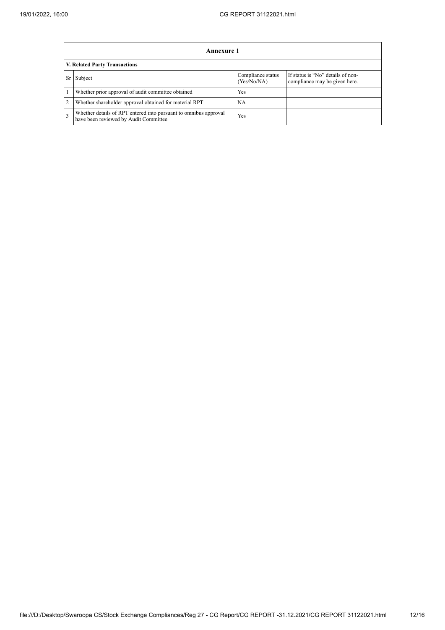|                | Annexure 1                                                                                                |                                  |                                                                    |  |  |  |  |  |  |
|----------------|-----------------------------------------------------------------------------------------------------------|----------------------------------|--------------------------------------------------------------------|--|--|--|--|--|--|
|                | V. Related Party Transactions                                                                             |                                  |                                                                    |  |  |  |  |  |  |
| <b>Sr</b>      | Subject                                                                                                   | Compliance status<br>(Yes/No/NA) | If status is "No" details of non-<br>compliance may be given here. |  |  |  |  |  |  |
|                | Whether prior approval of audit committee obtained                                                        | <b>Yes</b>                       |                                                                    |  |  |  |  |  |  |
| $\overline{2}$ | Whether shareholder approval obtained for material RPT                                                    | NA                               |                                                                    |  |  |  |  |  |  |
| 3              | Whether details of RPT entered into pursuant to omnibus approval<br>have been reviewed by Audit Committee | Yes                              |                                                                    |  |  |  |  |  |  |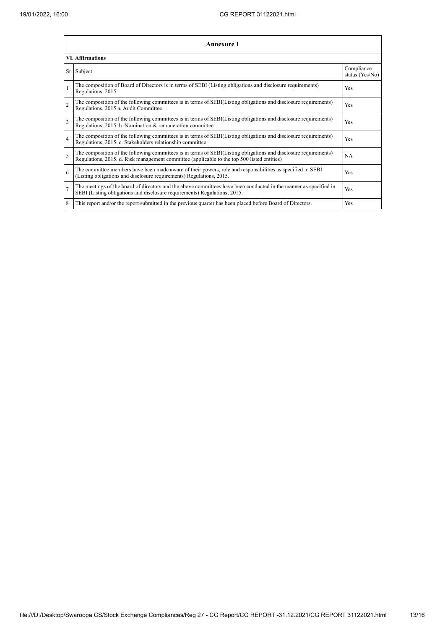| Annexure 1<br><b>VI.</b> Affirmations |                                                                                                                                                                                                                 |     |  |  |
|---------------------------------------|-----------------------------------------------------------------------------------------------------------------------------------------------------------------------------------------------------------------|-----|--|--|
|                                       |                                                                                                                                                                                                                 |     |  |  |
| $\mathbf{1}$                          | The composition of Board of Directors is in terms of SEBI (Listing obligations and disclosure requirements)<br>Regulations, 2015                                                                                | Yes |  |  |
| $\overline{2}$                        | The composition of the following committees is in terms of SEBI(Listing obligations and disclosure requirements)<br>Regulations, 2015 a. Audit Committee                                                        | Yes |  |  |
| $\overline{\mathbf{3}}$               | The composition of the following committees is in terms of SEBI(Listing obligations and disclosure requirements)<br>Regulations, 2015. b. Nomination & remuneration committee                                   | Yes |  |  |
| 4                                     | The composition of the following committees is in terms of SEBI(Listing obligations and disclosure requirements)<br>Regulations, 2015. c. Stakeholders relationship committee                                   | Yes |  |  |
| 5                                     | The composition of the following committees is in terms of SEBI(Listing obligations and disclosure requirements)<br>Regulations, 2015. d. Risk management committee (applicable to the top 500 listed entities) | NA  |  |  |
| 6                                     | The committee members have been made aware of their powers, role and responsibilities as specified in SEBI<br>(Listing obligations and disclosure requirements) Regulations, 2015.                              | Yes |  |  |
| $\overline{7}$                        | The meetings of the board of directors and the above committees have been conducted in the manner as specified in<br>SEBI (Listing obligations and disclosure requirements) Regulations, 2015.                  | Yes |  |  |
| 8                                     | This report and/or the report submitted in the previous quarter has been placed before Board of Directors.                                                                                                      | Yes |  |  |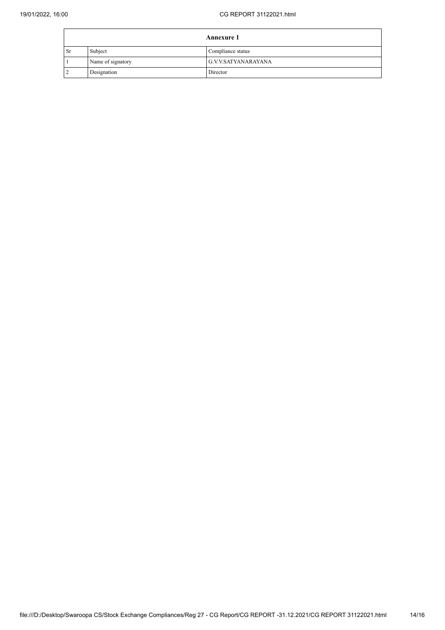|      | <b>Annexure 1</b> |                     |  |
|------|-------------------|---------------------|--|
| ' Sr | Subject           | Compliance status   |  |
|      | Name of signatory | G.V.V.SATYANARAYANA |  |
|      | Designation       | Director            |  |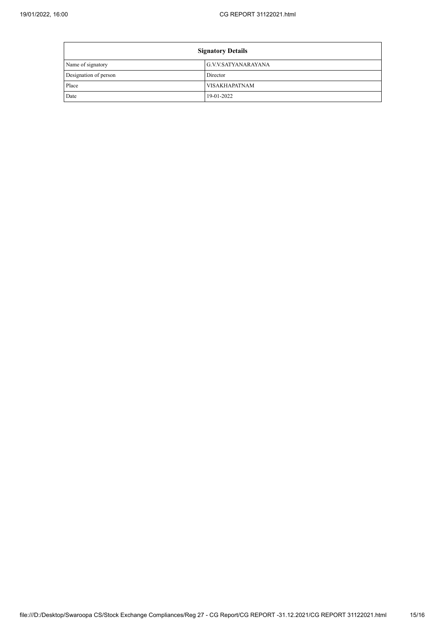$\mathbf{r}$ 

| <b>Signatory Details</b> |                      |  |
|--------------------------|----------------------|--|
| Name of signatory        | G.V.V.SATYANARAYANA  |  |
| Designation of person    | Director             |  |
| Place                    | <b>VISAKHAPATNAM</b> |  |
| Date                     | 19-01-2022           |  |